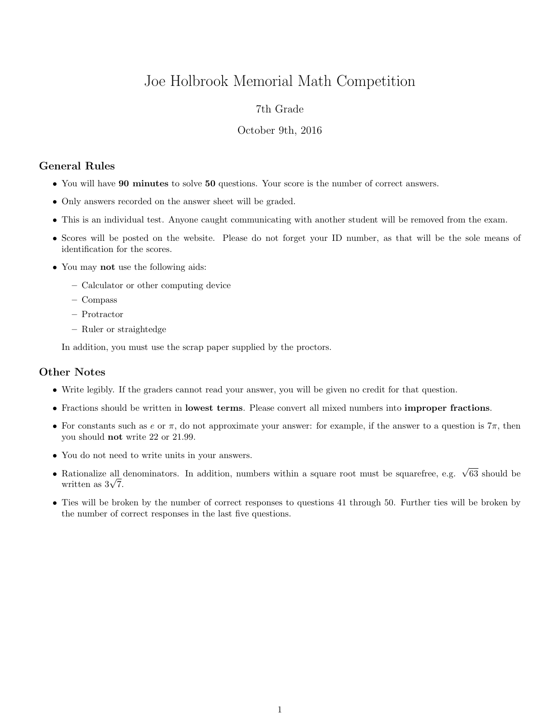# Joe Holbrook Memorial Math Competition

## 7th Grade

#### October 9th, 2016

## General Rules

- You will have 90 minutes to solve 50 questions. Your score is the number of correct answers.
- Only answers recorded on the answer sheet will be graded.
- This is an individual test. Anyone caught communicating with another student will be removed from the exam.
- Scores will be posted on the website. Please do not forget your ID number, as that will be the sole means of identification for the scores.
- You may not use the following aids:
	- Calculator or other computing device
	- Compass
	- Protractor
	- Ruler or straightedge

In addition, you must use the scrap paper supplied by the proctors.

### Other Notes

- Write legibly. If the graders cannot read your answer, you will be given no credit for that question.
- Fractions should be written in lowest terms. Please convert all mixed numbers into improper fractions.
- For constants such as e or  $\pi$ , do not approximate your answer: for example, if the answer to a question is  $7\pi$ , then you should not write 22 or 21.99.
- You do not need to write units in your answers.
- Rationalize all denominators. In addition, numbers within a square root must be squarefree, e.g.  $\sqrt{63}$  should be Rationalize all  $\frac{1}{\sqrt{7}}$ .
- Ties will be broken by the number of correct responses to questions 41 through 50. Further ties will be broken by the number of correct responses in the last five questions.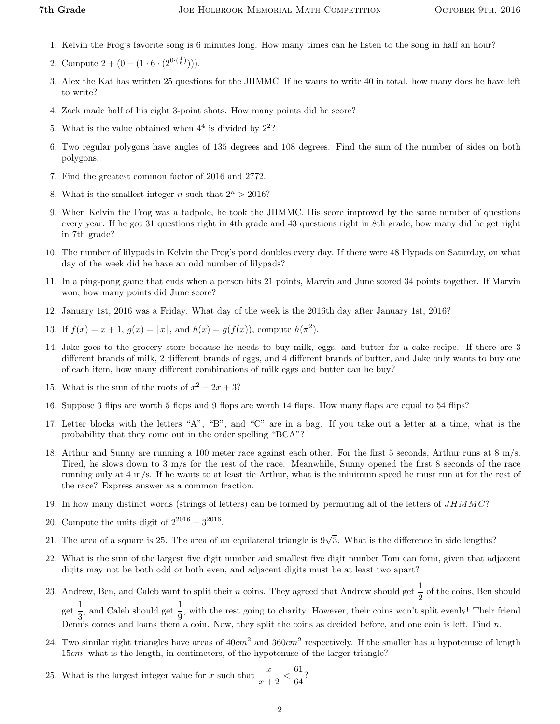- 1. Kelvin the Frog's favorite song is 6 minutes long. How many times can he listen to the song in half an hour?
- 2. Compute  $2 + (0 (1 \cdot 6 \cdot (2^{0 \cdot (\frac{1}{6})}))).$
- 3. Alex the Kat has written 25 questions for the JHMMC. If he wants to write 40 in total. how many does he have left to write?
- 4. Zack made half of his eight 3-point shots. How many points did he score?
- 5. What is the value obtained when  $4^4$  is divided by  $2^2$ ?
- 6. Two regular polygons have angles of 135 degrees and 108 degrees. Find the sum of the number of sides on both polygons.
- 7. Find the greatest common factor of 2016 and 2772.
- 8. What is the smallest integer n such that  $2^n > 2016$ ?
- 9. When Kelvin the Frog was a tadpole, he took the JHMMC. His score improved by the same number of questions every year. If he got 31 questions right in 4th grade and 43 questions right in 8th grade, how many did he get right in 7th grade?
- 10. The number of lilypads in Kelvin the Frog's pond doubles every day. If there were 48 lilypads on Saturday, on what day of the week did he have an odd number of lilypads?
- 11. In a ping-pong game that ends when a person hits 21 points, Marvin and June scored 34 points together. If Marvin won, how many points did June score?
- 12. January 1st, 2016 was a Friday. What day of the week is the 2016th day after January 1st, 2016?
- 13. If  $f(x) = x + 1$ ,  $g(x) = |x|$ , and  $h(x) = g(f(x))$ , compute  $h(\pi^2)$ .
- 14. Jake goes to the grocery store because he needs to buy milk, eggs, and butter for a cake recipe. If there are 3 different brands of milk, 2 different brands of eggs, and 4 different brands of butter, and Jake only wants to buy one of each item, how many different combinations of milk eggs and butter can he buy?
- 15. What is the sum of the roots of  $x^2 2x + 3$ ?
- 16. Suppose 3 flips are worth 5 flops and 9 flops are worth 14 flaps. How many flaps are equal to 54 flips?
- 17. Letter blocks with the letters "A", "B", and "C" are in a bag. If you take out a letter at a time, what is the probability that they come out in the order spelling "BCA"?
- 18. Arthur and Sunny are running a 100 meter race against each other. For the first 5 seconds, Arthur runs at 8 m/s. Tired, he slows down to 3 m/s for the rest of the race. Meanwhile, Sunny opened the first 8 seconds of the race running only at 4 m/s. If he wants to at least tie Arthur, what is the minimum speed he must run at for the rest of the race? Express answer as a common fraction.
- 19. In how many distinct words (strings of letters) can be formed by permuting all of the letters of JHMMC?
- 20. Compute the units digit of  $2^{2016} + 3^{2016}$ .
- 21. The area of a square is 25. The area of an equilateral triangle is  $9\sqrt{3}$ . What is the difference in side lengths?
- 22. What is the sum of the largest five digit number and smallest five digit number Tom can form, given that adjacent digits may not be both odd or both even, and adjacent digits must be at least two apart?
- 23. Andrew, Ben, and Caleb want to split their *n* coins. They agreed that Andrew should get  $\frac{1}{2}$  of the coins, Ben should  $\frac{1}{\sqrt{2}}$  $\frac{1}{3}$ , and Caleb should get  $\frac{1}{9}$ , with the rest going to charity. However, their coins won't split evenly! Their friend Dennis comes and loans them a coin. Now, they split the coins as decided before, and one coin is left. Find  $n$ .
- 24. Two similar right triangles have areas of  $40cm^2$  and  $360cm^2$  respectively. If the smaller has a hypotenuse of length 15cm, what is the length, in centimeters, of the hypotenuse of the larger triangle?
- 25. What is the largest integer value for x such that  $\frac{x}{x+2} < \frac{61}{64}$  $rac{3}{64}$ ?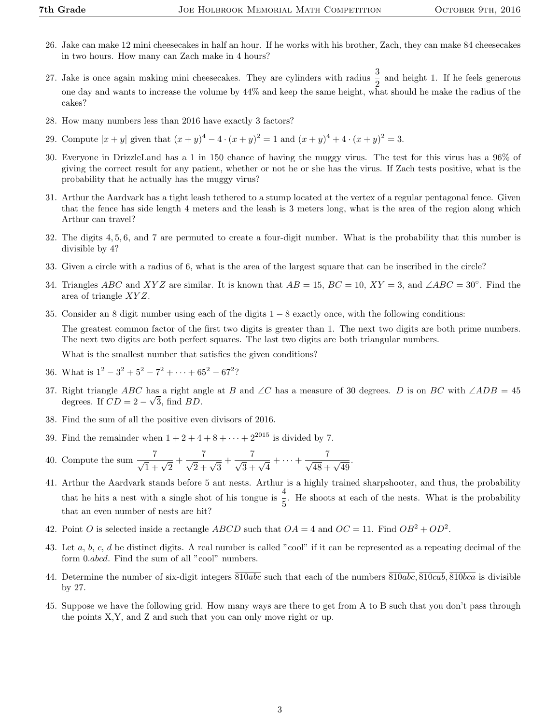- 26. Jake can make 12 mini cheesecakes in half an hour. If he works with his brother, Zach, they can make 84 cheesecakes in two hours. How many can Zach make in 4 hours?
- 27. Jake is once again making mini cheesecakes. They are cylinders with radius  $\frac{3}{2}$  and height 1. If he feels generous one day and wants to increase the volume by 44% and keep the same height, what should he make the radius of the cakes?
- 28. How many numbers less than 2016 have exactly 3 factors?
- 29. Compute  $|x+y|$  given that  $(x+y)^4 4 \cdot (x+y)^2 = 1$  and  $(x+y)^4 + 4 \cdot (x+y)^2 = 3$ .
- 30. Everyone in DrizzleLand has a 1 in 150 chance of having the muggy virus. The test for this virus has a 96% of giving the correct result for any patient, whether or not he or she has the virus. If Zach tests positive, what is the probability that he actually has the muggy virus?
- 31. Arthur the Aardvark has a tight leash tethered to a stump located at the vertex of a regular pentagonal fence. Given that the fence has side length 4 meters and the leash is 3 meters long, what is the area of the region along which Arthur can travel?
- 32. The digits 4, 5, 6, and 7 are permuted to create a four-digit number. What is the probability that this number is divisible by 4?
- 33. Given a circle with a radius of 6, what is the area of the largest square that can be inscribed in the circle?
- 34. Triangles ABC and XYZ are similar. It is known that  $AB = 15$ ,  $BC = 10$ ,  $XY = 3$ , and  $\angle ABC = 30^\circ$ . Find the area of triangle XY Z.
- 35. Consider an 8 digit number using each of the digits 1 − 8 exactly once, with the following conditions: The greatest common factor of the first two digits is greater than 1. The next two digits are both prime numbers. The next two digits are both perfect squares. The last two digits are both triangular numbers.

What is the smallest number that satisfies the given conditions?

- 36. What is  $1^2 3^2 + 5^2 7^2 + \cdots + 65^2 67^2$ ?
- 37. Right triangle ABC has a right angle at B and ∠C has a measure of 30 degrees. D is on BC with ∠ADB = 45 degrees. If  $CD = 2 - \sqrt{3}$ , find BD.
- 38. Find the sum of all the positive even divisors of 2016.
- 39. Find the remainder when  $1 + 2 + 4 + 8 + \cdots + 2^{2015}$  is divided by 7.
- 40. Compute the sum  $\frac{7}{\sqrt{1} + \sqrt{2}} + \frac{7}{\sqrt{2} + \sqrt{3}} + \frac{7}{\sqrt{3} + \sqrt{4}} + \dots + \frac{7}{\sqrt{48} + \sqrt{49}}$ .
- 41. Arthur the Aardvark stands before 5 ant nests. Arthur is a highly trained sharpshooter, and thus, the probability that he hits a nest with a single shot of his tongue is  $\frac{4}{5}$ . He shoots at each of the nests. What is the probability that an even number of nests are hit?
- 42. Point O is selected inside a rectangle ABCD such that  $OA = 4$  and  $OC = 11$ . Find  $OB^2 + OD^2$ .
- 43. Let  $a, b, c, d$  be distinct digits. A real number is called "cool" if it can be represented as a repeating decimal of the form 0.abcd. Find the sum of all "cool" numbers.
- 44. Determine the number of six-digit integers 810abc such that each of the numbers 810abc, 810cab, 810bca is divisible by 27.
- 45. Suppose we have the following grid. How many ways are there to get from A to B such that you don't pass through the points X,Y, and Z and such that you can only move right or up.